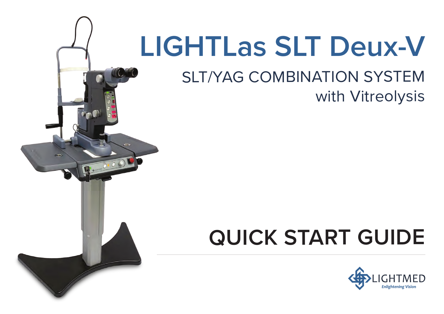# **LIGHTLas SLT Deux-V**

# **SLT/YAG COMBINATION SYSTEM** with Vitreolysis

# **QUICK START GUIDE**

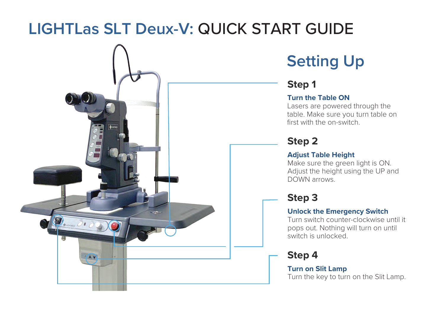# **LIGHTLas SLT Deux-V:** QUICK START GUIDE



## **Setting Up**

### **Step 1**

### **Turn the Table ON**

Lasers are powered through the table. Make sure you turn table on first with the on-switch.

### **Step 2**

### **Adjust Table Height**

Make sure the green light is ON. Adjust the height using the UP and DOWN arrows.

### **Step 3**

### **Unlock the Emergency Switch**

Turn switch counter-clockwise until it pops out. Nothing will turn on until switch is unlocked.

### **Step 4**

**Turn on Slit Lamp** Turn the key to turn on the Slit Lamp.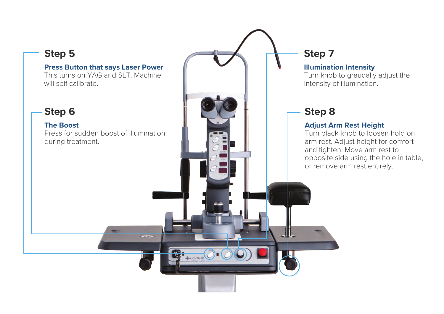### **Step 5 Step 7 Press Button that says Laser Power Illumination Intensity** This turns on YAG and SLT. Machine Turn knob to graudally adjust the will self calibrate. intensity of illumination. **Step 6 Step 8 The Boost Adjust Arm Rest Height** Press for sudden boost of illumination Turn black knob to loosen hold on during treatment. arm rest. Adjust height for comfort and tighten. Move arm rest to opposite side using the hole in table, or remove arm rest entirely.-11.  $\overline{\phantom{a}}$ **BELIGHTMED**